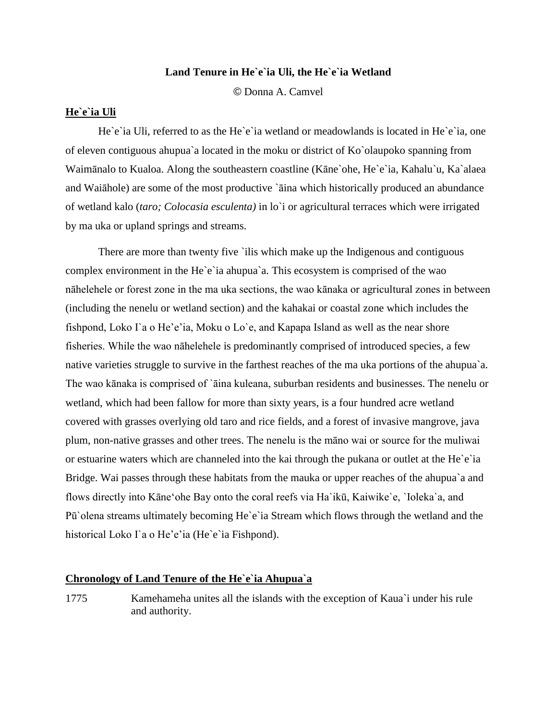## **Land Tenure in He`e`ia Uli, the He`e`ia Wetland**

© Donna A. Camvel

## **He`e`ia Uli**

He`e`ia Uli, referred to as the He`e`ia wetland or meadowlands is located in He`e`ia, one of eleven contiguous ahupua`a located in the moku or district of Ko`olaupoko spanning from Waimānalo to Kualoa. Along the southeastern coastline (Kāne`ohe, He`e`ia, Kahalu`u, Ka`alaea and Waiāhole) are some of the most productive `āina which historically produced an abundance of wetland kalo (*taro; Colocasia esculenta)* in lo`i or agricultural terraces which were irrigated by ma uka or upland springs and streams.

There are more than twenty five `ilis which make up the Indigenous and contiguous complex environment in the He`e`ia ahupua`a. This ecosystem is comprised of the wao nāhelehele or forest zone in the ma uka sections, the wao kānaka or agricultural zones in between (including the nenelu or wetland section) and the kahakai or coastal zone which includes the fishpond, Loko I`a o He'e'ia, Moku o Lo`e, and Kapapa Island as well as the near shore fisheries. While the wao nāhelehele is predominantly comprised of introduced species, a few native varieties struggle to survive in the farthest reaches of the ma uka portions of the ahupua`a. The wao kānaka is comprised of `āina kuleana, suburban residents and businesses. The nenelu or wetland, which had been fallow for more than sixty years, is a four hundred acre wetland covered with grasses overlying old taro and rice fields, and a forest of invasive mangrove, java plum, non-native grasses and other trees. The nenelu is the māno wai or source for the muliwai or estuarine waters which are channeled into the kai through the pukana or outlet at the He`e`ia Bridge. Wai passes through these habitats from the mauka or upper reaches of the ahupua`a and flows directly into Kāneʻohe Bay onto the coral reefs via Ha`ikū, Kaiwike`e, `Ioleka`a, and Pū'olena streams ultimately becoming He'e'ia Stream which flows through the wetland and the historical Loko I`a o He'e'ia (He`e`ia Fishpond).

## **Chronology of Land Tenure of the He`e`ia Ahupua`a**

1775 Kamehameha unites all the islands with the exception of Kaua`i under his rule and authority.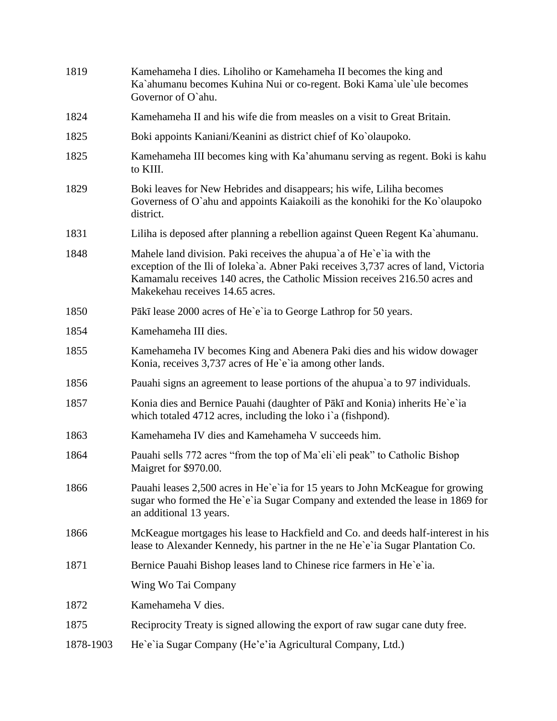| 1819      | Kamehameha I dies. Liholiho or Kamehameha II becomes the king and<br>Ka`ahumanu becomes Kuhina Nui or co-regent. Boki Kama`ule`ule becomes<br>Governor of O'ahu.                                                                                                              |
|-----------|-------------------------------------------------------------------------------------------------------------------------------------------------------------------------------------------------------------------------------------------------------------------------------|
| 1824      | Kamehameha II and his wife die from measles on a visit to Great Britain.                                                                                                                                                                                                      |
| 1825      | Boki appoints Kaniani/Keanini as district chief of Ko`olaupoko.                                                                                                                                                                                                               |
| 1825      | Kamehameha III becomes king with Ka'ahumanu serving as regent. Boki is kahu<br>to KIII.                                                                                                                                                                                       |
| 1829      | Boki leaves for New Hebrides and disappears; his wife, Liliha becomes<br>Governess of O'ahu and appoints Kaiakoili as the konohiki for the Ko'olaupoko<br>district.                                                                                                           |
| 1831      | Liliha is deposed after planning a rebellion against Queen Regent Ka`ahumanu.                                                                                                                                                                                                 |
| 1848      | Mahele land division. Paki receives the ahupua'a of He'e'ia with the<br>exception of the Ili of Ioleka'a. Abner Paki receives 3,737 acres of land, Victoria<br>Kamamalu receives 140 acres, the Catholic Mission receives 216.50 acres and<br>Makekehau receives 14.65 acres. |
| 1850      | Pākī lease 2000 acres of He'e'ia to George Lathrop for 50 years.                                                                                                                                                                                                              |
| 1854      | Kamehameha III dies.                                                                                                                                                                                                                                                          |
| 1855      | Kamehameha IV becomes King and Abenera Paki dies and his widow dowager<br>Konia, receives 3,737 acres of He'e'ia among other lands.                                                                                                                                           |
| 1856      | Pauahi signs an agreement to lease portions of the ahupua'a to 97 individuals.                                                                                                                                                                                                |
| 1857      | Konia dies and Bernice Pauahi (daughter of Pākī and Konia) inherits He'e'ia<br>which totaled 4712 acres, including the loko i`a (fishpond).                                                                                                                                   |
| 1863      | Kamehameha IV dies and Kamehameha V succeeds him.                                                                                                                                                                                                                             |
| 1864      | Pauahi sells 772 acres "from the top of Ma'eli'eli peak" to Catholic Bishop<br>Maigret for \$970.00.                                                                                                                                                                          |
| 1866      | Pauahi leases 2,500 acres in He'e'ia for 15 years to John McKeague for growing<br>sugar who formed the He'e'ia Sugar Company and extended the lease in 1869 for<br>an additional 13 years.                                                                                    |
| 1866      | McKeague mortgages his lease to Hackfield and Co. and deeds half-interest in his<br>lease to Alexander Kennedy, his partner in the ne He'e'ia Sugar Plantation Co.                                                                                                            |
| 1871      | Bernice Pauahi Bishop leases land to Chinese rice farmers in He'e'ia.                                                                                                                                                                                                         |
|           | Wing Wo Tai Company                                                                                                                                                                                                                                                           |
| 1872      | Kamehameha V dies.                                                                                                                                                                                                                                                            |
| 1875      | Reciprocity Treaty is signed allowing the export of raw sugar cane duty free.                                                                                                                                                                                                 |
| 1878-1903 | He`e`ia Sugar Company (He'e'ia Agricultural Company, Ltd.)                                                                                                                                                                                                                    |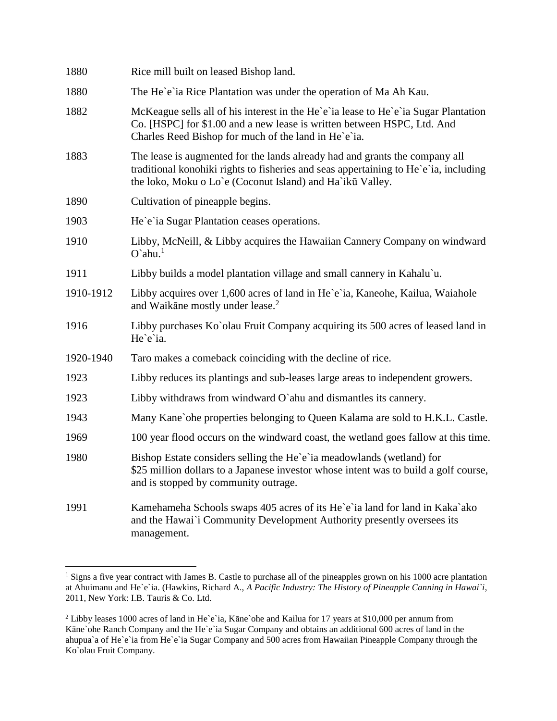| 1880      | Rice mill built on leased Bishop land.                                                                                                                                                                                           |
|-----------|----------------------------------------------------------------------------------------------------------------------------------------------------------------------------------------------------------------------------------|
| 1880      | The He'e'ia Rice Plantation was under the operation of Ma Ah Kau.                                                                                                                                                                |
| 1882      | McKeague sells all of his interest in the He'e'ia lease to He'e'ia Sugar Plantation<br>Co. [HSPC] for \$1.00 and a new lease is written between HSPC, Ltd. And<br>Charles Reed Bishop for much of the land in He'e'ia.           |
| 1883      | The lease is augmented for the lands already had and grants the company all<br>traditional konohiki rights to fisheries and seas appertaining to He'e'ia, including<br>the loko, Moku o Lo`e (Coconut Island) and Ha`ikū Valley. |
| 1890      | Cultivation of pineapple begins.                                                                                                                                                                                                 |
| 1903      | He'e'ia Sugar Plantation ceases operations.                                                                                                                                                                                      |
| 1910      | Libby, McNeill, & Libby acquires the Hawaiian Cannery Company on windward<br>$O$ `ahu. <sup>1</sup>                                                                                                                              |
| 1911      | Libby builds a model plantation village and small cannery in Kahalu'u.                                                                                                                                                           |
| 1910-1912 | Libby acquires over 1,600 acres of land in He'e'ia, Kaneohe, Kailua, Waiahole<br>and Waikane mostly under lease. <sup>2</sup>                                                                                                    |
| 1916      | Libby purchases Ko'olau Fruit Company acquiring its 500 acres of leased land in<br>He`e`ia.                                                                                                                                      |
| 1920-1940 | Taro makes a comeback coinciding with the decline of rice.                                                                                                                                                                       |
| 1923      | Libby reduces its plantings and sub-leases large areas to independent growers.                                                                                                                                                   |
| 1923      | Libby withdraws from windward O'ahu and dismantles its cannery.                                                                                                                                                                  |
| 1943      | Many Kane' ohe properties belonging to Queen Kalama are sold to H.K.L. Castle.                                                                                                                                                   |
| 1969      | 100 year flood occurs on the windward coast, the wetland goes fallow at this time.                                                                                                                                               |
| 1980      | Bishop Estate considers selling the He'e'ia meadowlands (wetland) for<br>\$25 million dollars to a Japanese investor whose intent was to build a golf course,<br>and is stopped by community outrage.                            |
| 1991      | Kamehameha Schools swaps 405 acres of its He'e'ia land for land in Kaka'ako<br>and the Hawai'i Community Development Authority presently oversees its<br>management.                                                             |

<sup>&</sup>lt;sup>1</sup> Signs a five year contract with James B. Castle to purchase all of the pineapples grown on his 1000 acre plantation at Ahuimanu and He`e`ia. (Hawkins, Richard A., *A Pacific Industry: The History of Pineapple Canning in Hawai`i*, 2011, New York: I.B. Tauris & Co. Ltd.

 $\overline{a}$ 

<sup>&</sup>lt;sup>2</sup> Libby leases 1000 acres of land in He`e`ia, Kāne`ohe and Kailua for 17 years at \$10,000 per annum from Kāne`ohe Ranch Company and the He`e`ia Sugar Company and obtains an additional 600 acres of land in the ahupua`a of He`e`ia from He`e`ia Sugar Company and 500 acres from Hawaiian Pineapple Company through the Ko`olau Fruit Company.